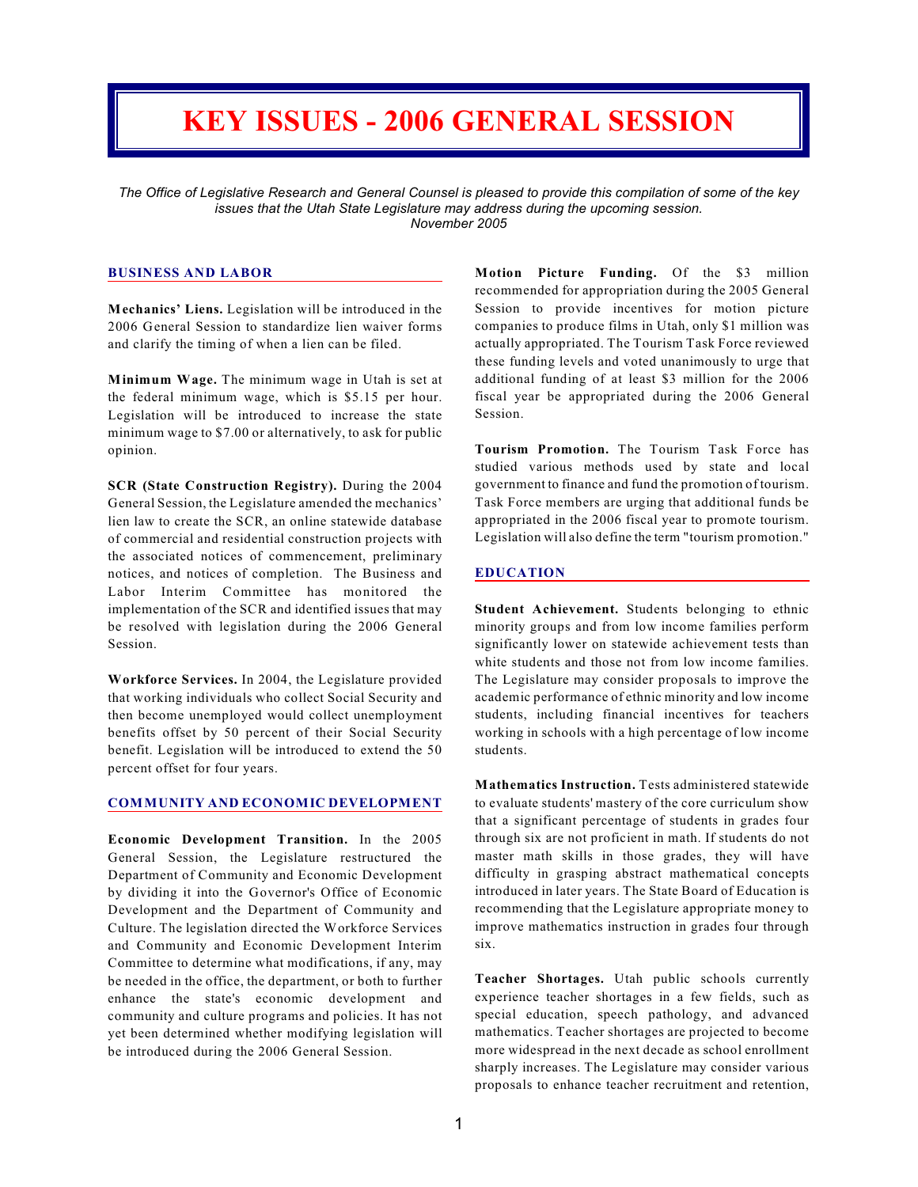# **KEY ISSUES - 2006 GENERAL SESSION**

*The Office of Legislative Research and General Counsel is pleased to provide this compilation of some of the key issues that the Utah State Legislature may address during the upcoming session. November 2005*

## **BUSINESS AND LABOR**

**Mechanics' Liens.** Legislation will be introduced in the 2006 General Session to standardize lien waiver forms and clarify the timing of when a lien can be filed.

**Minimum Wage.** The minimum wage in Utah is set at the federal minimum wage, which is \$5.15 per hour. Legislation will be introduced to increase the state minimum wage to \$7.00 or alternatively, to ask for public opinion.

**SCR (State Construction Registry).** During the 2004 General Session, the Legislature amended the mechanics' lien law to create the SCR, an online statewide database of commercial and residential construction projects with the associated notices of commencement, preliminary notices, and notices of completion. The Business and Labor Interim Committee has monitored the implementation of the SCR and identified issues that may be resolved with legislation during the 2006 General Session.

**Workforce Services.** In 2004, the Legislature provided that working individuals who collect Social Security and then become unemployed would collect unemployment benefits offset by 50 percent of their Social Security benefit. Legislation will be introduced to extend the 50 percent offset for four years.

#### **COMMUNITY AND ECONOMIC DEVELOPMENT**

**Economic Development Transition.** In the 2005 General Session, the Legislature restructured the Department of Community and Economic Development by dividing it into the Governor's Office of Economic Development and the Department of Community and Culture. The legislation directed the Workforce Services and Community and Economic Development Interim Committee to determine what modifications, if any, may be needed in the office, the department, or both to further enhance the state's economic development and community and culture programs and policies. It has not yet been determined whether modifying legislation will be introduced during the 2006 General Session.

**Motion Picture Funding.** Of the \$3 million recommended for appropriation during the 2005 General Session to provide incentives for motion picture companies to produce films in Utah, only \$1 million was actually appropriated. The Tourism Task Force reviewed these funding levels and voted unanimously to urge that additional funding of at least \$3 million for the 2006 fiscal year be appropriated during the 2006 General Session.

**Tourism Promotion.** The Tourism Task Force has studied various methods used by state and local government to finance and fund the promotion of tourism. Task Force members are urging that additional funds be appropriated in the 2006 fiscal year to promote tourism. Legislation will also define the term "tourism promotion."

#### **EDUCATION**

**Student Achievement.** Students belonging to ethnic minority groups and from low income families perform significantly lower on statewide achievement tests than white students and those not from low income families. The Legislature may consider proposals to improve the academic performance of ethnic minority and low income students, including financial incentives for teachers working in schools with a high percentage of low income students.

**Mathematics Instruction.** Tests administered statewide to evaluate students' mastery of the core curriculum show that a significant percentage of students in grades four through six are not proficient in math. If students do not master math skills in those grades, they will have difficulty in grasping abstract mathematical concepts introduced in later years. The State Board of Education is recommending that the Legislature appropriate money to improve mathematics instruction in grades four through six.

**Teacher Shortages.** Utah public schools currently experience teacher shortages in a few fields, such as special education, speech pathology, and advanced mathematics. Teacher shortages are projected to become more widespread in the next decade as school enrollment sharply increases. The Legislature may consider various proposals to enhance teacher recruitment and retention,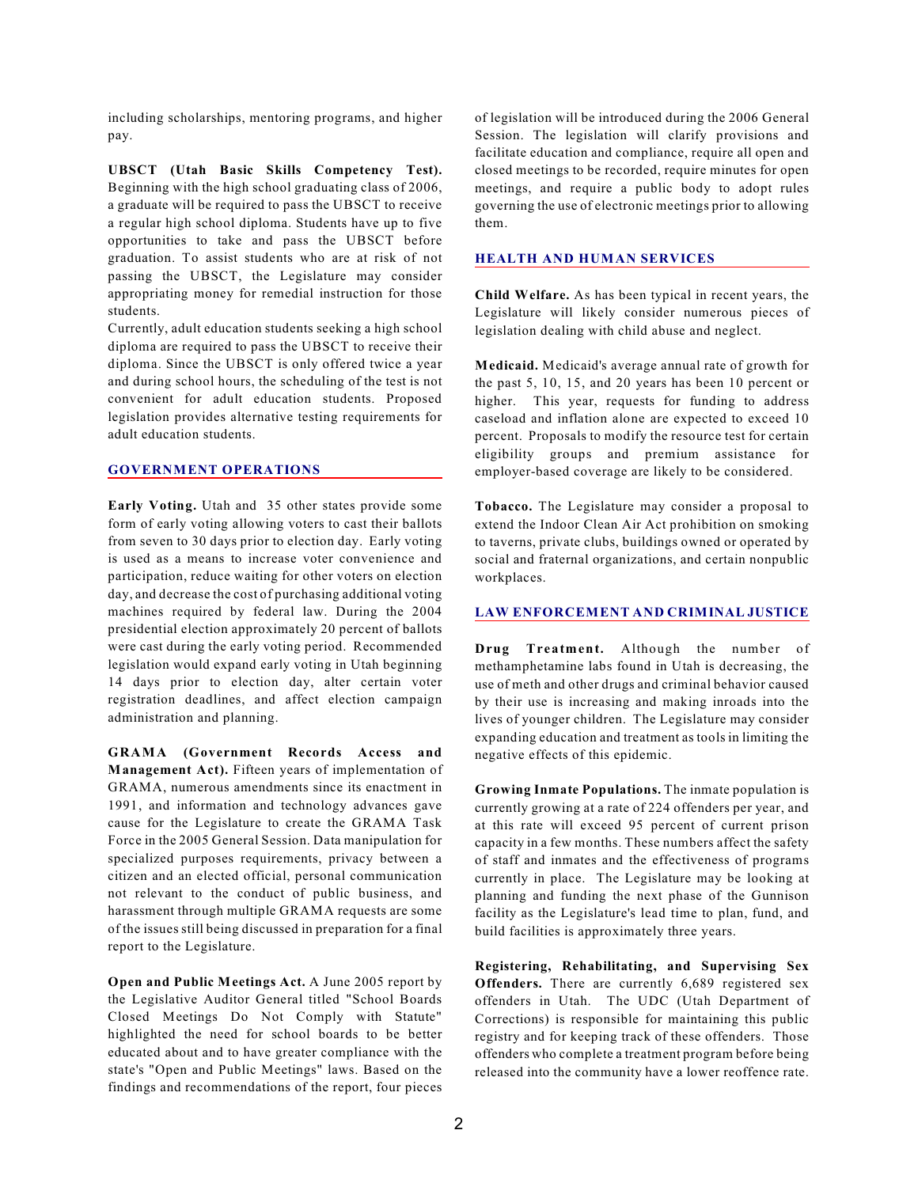including scholarships, mentoring programs, and higher pay.

**UBSCT (Utah Basic Skills Competency Test).** Beginning with the high school graduating class of 2006, a graduate will be required to pass the UBSCT to receive a regular high school diploma. Students have up to five opportunities to take and pass the UBSCT before graduation. To assist students who are at risk of not passing the UBSCT, the Legislature may consider appropriating money for remedial instruction for those students.

Currently, adult education students seeking a high school diploma are required to pass the UBSCT to receive their diploma. Since the UBSCT is only offered twice a year and during school hours, the scheduling of the test is not convenient for adult education students. Proposed legislation provides alternative testing requirements for adult education students.

# **GOVERNMENT OPERATIONS**

**Early Voting.** Utah and 35 other states provide some form of early voting allowing voters to cast their ballots from seven to 30 days prior to election day. Early voting is used as a means to increase voter convenience and participation, reduce waiting for other voters on election day, and decrease the cost of purchasing additional voting machines required by federal law. During the 2004 presidential election approximately 20 percent of ballots were cast during the early voting period. Recommended legislation would expand early voting in Utah beginning 14 days prior to election day, alter certain voter registration deadlines, and affect election campaign administration and planning.

**GRAMA (Government Records Access and Management Act).** Fifteen years of implementation of GRAMA, numerous amendments since its enactment in 1991, and information and technology advances gave cause for the Legislature to create the GRAMA Task Force in the 2005 General Session. Data manipulation for specialized purposes requirements, privacy between a citizen and an elected official, personal communication not relevant to the conduct of public business, and harassment through multiple GRAMA requests are some of the issues still being discussed in preparation for a final report to the Legislature.

**Open and Public Meetings Act.** A June 2005 report by the Legislative Auditor General titled "School Boards Closed Meetings Do Not Comply with Statute" highlighted the need for school boards to be better educated about and to have greater compliance with the state's "Open and Public Meetings" laws. Based on the findings and recommendations of the report, four pieces

of legislation will be introduced during the 2006 General Session. The legislation will clarify provisions and facilitate education and compliance, require all open and closed meetings to be recorded, require minutes for open meetings, and require a public body to adopt rules governing the use of electronic meetings prior to allowing them.

#### **HEALTH AND HUMAN SERVICES**

**Child Welfare.** As has been typical in recent years, the Legislature will likely consider numerous pieces of legislation dealing with child abuse and neglect.

**Medicaid.** Medicaid's average annual rate of growth for the past 5, 10, 15, and 20 years has been 10 percent or higher. This year, requests for funding to address caseload and inflation alone are expected to exceed 10 percent. Proposals to modify the resource test for certain eligibility groups and premium assistance for employer-based coverage are likely to be considered.

**Tobacco.** The Legislature may consider a proposal to extend the Indoor Clean Air Act prohibition on smoking to taverns, private clubs, buildings owned or operated by social and fraternal organizations, and certain nonpublic workplaces.

#### **LAW ENFORCEMENT AND CRIMINAL JUSTICE**

**Drug Treatment.** Although the number of methamphetamine labs found in Utah is decreasing, the use of meth and other drugs and criminal behavior caused by their use is increasing and making inroads into the lives of younger children. The Legislature may consider expanding education and treatment as tools in limiting the negative effects of this epidemic.

**Growing Inmate Populations.** The inmate population is currently growing at a rate of 224 offenders per year, and at this rate will exceed 95 percent of current prison capacity in a few months. These numbers affect the safety of staff and inmates and the effectiveness of programs currently in place. The Legislature may be looking at planning and funding the next phase of the Gunnison facility as the Legislature's lead time to plan, fund, and build facilities is approximately three years.

**Registering, Rehabilitating, and Supervising Sex Offenders.** There are currently 6,689 registered sex offenders in Utah. The UDC (Utah Department of Corrections) is responsible for maintaining this public registry and for keeping track of these offenders. Those offenders who complete a treatment program before being released into the community have a lower reoffence rate.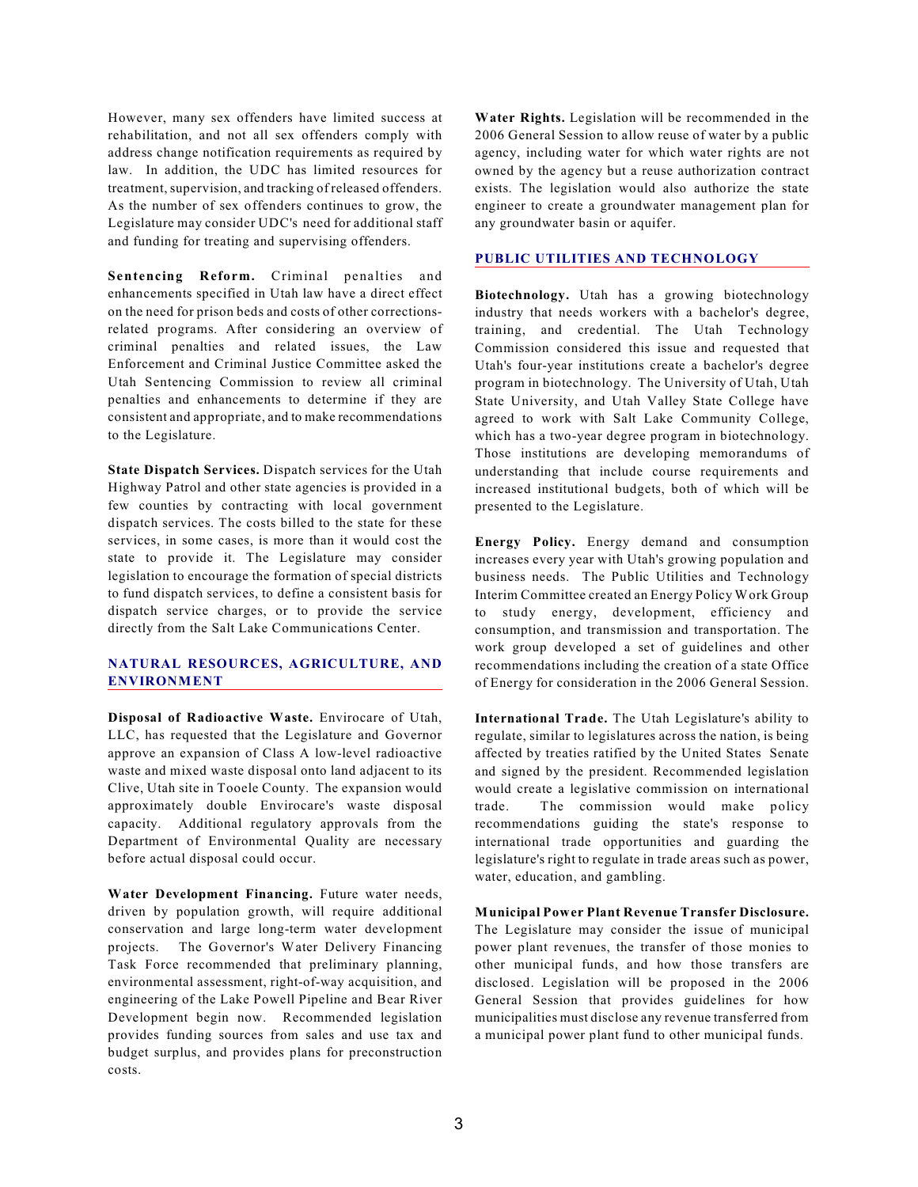However, many sex offenders have limited success at rehabilitation, and not all sex offenders comply with address change notification requirements as required by law. In addition, the UDC has limited resources for treatment, supervision, and tracking of released offenders. As the number of sex offenders continues to grow, the Legislature may consider UDC's need for additional staff and funding for treating and supervising offenders.

**Sentencing Reform.** Criminal penalties and enhancements specified in Utah law have a direct effect on the need for prison beds and costs of other correctionsrelated programs. After considering an overview of criminal penalties and related issues, the Law Enforcement and Criminal Justice Committee asked the Utah Sentencing Commission to review all criminal penalties and enhancements to determine if they are consistent and appropriate, and to make recommendations to the Legislature.

**State Dispatch Services.** Dispatch services for the Utah Highway Patrol and other state agencies is provided in a few counties by contracting with local government dispatch services. The costs billed to the state for these services, in some cases, is more than it would cost the state to provide it. The Legislature may consider legislation to encourage the formation of special districts to fund dispatch services, to define a consistent basis for dispatch service charges, or to provide the service directly from the Salt Lake Communications Center.

## **NATURAL RESOURCES, AGRICULTURE, AND ENVIRONMENT**

**Disposal of Radioactive Waste.** Envirocare of Utah, LLC, has requested that the Legislature and Governor approve an expansion of Class A low-level radioactive waste and mixed waste disposal onto land adjacent to its Clive, Utah site in Tooele County. The expansion would approximately double Envirocare's waste disposal capacity. Additional regulatory approvals from the Department of Environmental Quality are necessary before actual disposal could occur.

**Water Development Financing.** Future water needs, driven by population growth, will require additional conservation and large long-term water development projects. The Governor's Water Delivery Financing Task Force recommended that preliminary planning, environmental assessment, right-of-way acquisition, and engineering of the Lake Powell Pipeline and Bear River Development begin now. Recommended legislation provides funding sources from sales and use tax and budget surplus, and provides plans for preconstruction costs.

**Water Rights.** Legislation will be recommended in the 2006 General Session to allow reuse of water by a public agency, including water for which water rights are not owned by the agency but a reuse authorization contract exists. The legislation would also authorize the state engineer to create a groundwater management plan for any groundwater basin or aquifer.

## **PUBLIC UTILITIES AND TECHNOLOGY**

**Biotechnology.** Utah has a growing biotechnology industry that needs workers with a bachelor's degree, training, and credential. The Utah Technology Commission considered this issue and requested that Utah's four-year institutions create a bachelor's degree program in biotechnology. The University of Utah, Utah State University, and Utah Valley State College have agreed to work with Salt Lake Community College, which has a two-year degree program in biotechnology. Those institutions are developing memorandums of understanding that include course requirements and increased institutional budgets, both of which will be presented to the Legislature.

**Energy Policy.** Energy demand and consumption increases every year with Utah's growing population and business needs. The Public Utilities and Technology Interim Committee created an Energy Policy Work Group to study energy, development, efficiency and consumption, and transmission and transportation. The work group developed a set of guidelines and other recommendations including the creation of a state Office of Energy for consideration in the 2006 General Session.

**International Trade.** The Utah Legislature's ability to regulate, similar to legislatures across the nation, is being affected by treaties ratified by the United States Senate and signed by the president. Recommended legislation would create a legislative commission on international trade. The commission would make policy recommendations guiding the state's response to international trade opportunities and guarding the legislature's right to regulate in trade areas such as power, water, education, and gambling.

**Municipal Power Plant Revenue Transfer Disclosure.** The Legislature may consider the issue of municipal power plant revenues, the transfer of those monies to other municipal funds, and how those transfers are disclosed. Legislation will be proposed in the 2006 General Session that provides guidelines for how municipalities must disclose any revenue transferred from a municipal power plant fund to other municipal funds.